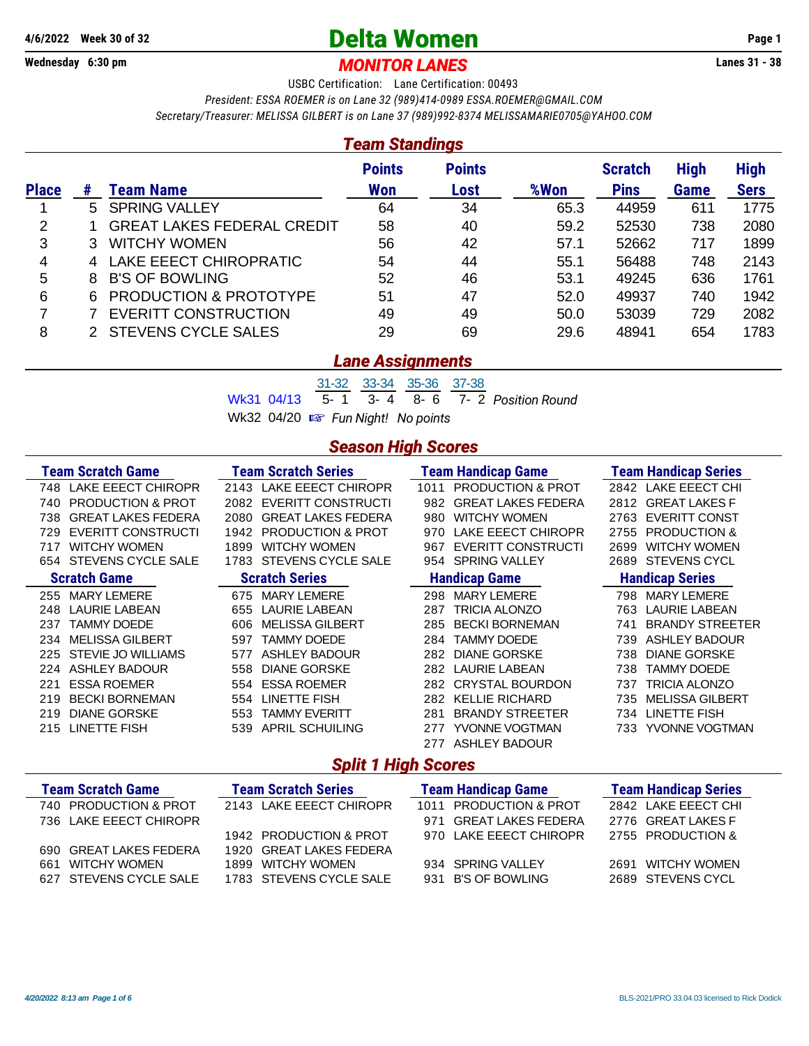## **4/6/2022 Week 30 of 32 Delta Women Page 1**

## **Wednesday 6:30 pm** *MONITOR LANES* **Lanes 31 - 38**

USBC Certification: Lane Certification: 00493

*President: ESSA ROEMER is on Lane 32 (989)414-0989 [ESSA.ROEMER@GMAIL.COM](mailto:ESSA.ROEMER@GMAIL.COM)*

*Secretary/Treasurer: MELISSA GILBERT is on Lane 37 (989)992-8374 [MELISSAMARIE0705@YAHOO.COM](mailto:MELISSAMARIE0705@YAHOO.COM)*

|              | <b>Team Standings</b> |                                   |                             |                       |      |                               |                            |                            |  |  |  |  |
|--------------|-----------------------|-----------------------------------|-----------------------------|-----------------------|------|-------------------------------|----------------------------|----------------------------|--|--|--|--|
| <b>Place</b> | #                     | <b>Team Name</b>                  | <b>Points</b><br><b>Won</b> | <b>Points</b><br>Lost | %Won | <b>Scratch</b><br><b>Pins</b> | <b>High</b><br><b>Game</b> | <b>High</b><br><b>Sers</b> |  |  |  |  |
|              |                       | 5 SPRING VALLEY                   | 64                          | 34                    | 65.3 | 44959                         | 611                        | 1775                       |  |  |  |  |
| 2            |                       | <b>GREAT LAKES FEDERAL CREDIT</b> | 58                          | 40                    | 59.2 | 52530                         | 738                        | 2080                       |  |  |  |  |
| 3            |                       | <b>WITCHY WOMEN</b>               | 56                          | 42                    | 57.1 | 52662                         | 717                        | 1899                       |  |  |  |  |
| 4            |                       | 4 LAKE EEECT CHIROPRATIC          | 54                          | 44                    | 55.1 | 56488                         | 748                        | 2143                       |  |  |  |  |
| 5            | 8.                    | <b>B'S OF BOWLING</b>             | 52                          | 46                    | 53.1 | 49245                         | 636                        | 1761                       |  |  |  |  |
| 6            |                       | 6 PRODUCTION & PROTOTYPE          | 51                          | 47                    | 52.0 | 49937                         | 740                        | 1942                       |  |  |  |  |
| 7            |                       | <b>EVERITT CONSTRUCTION</b>       | 49                          | 49                    | 50.0 | 53039                         | 729                        | 2082                       |  |  |  |  |
| 8            |                       | <b>STEVENS CYCLE SALES</b>        | 29                          | 69                    | 29.6 | 48941                         | 654                        | 1783                       |  |  |  |  |

#### *Lane Assignments*

31-32 33-34 35-36 37-38 Wk31 04/13 5- 1 3- 4 8- 6 7- 2 *Position Round*

Wk32 04/20  $\mathbb{R}$  Fun Night! No points

#### *Season High Scores*

| <b>Team Scratch Game</b>     | <b>Team Scratch Series</b>   | <b>Team Handicap Game</b>    | <b>Team Handicap Series</b> |
|------------------------------|------------------------------|------------------------------|-----------------------------|
| 748 LAKE EEECT CHIROPR       | LAKE EEECT CHIROPR           | <b>PRODUCTION &amp; PROT</b> | LAKE EEECT CHI              |
|                              | 2143                         | 1011                         | 2842                        |
| <b>PRODUCTION &amp; PROT</b> | <b>EVERITT CONSTRUCTI</b>    | <b>GREAT LAKES FEDERA</b>    | <b>GREAT LAKES F</b>        |
| 740                          | 2082                         | 982                          | 2812                        |
| <b>GREAT LAKES FEDERA</b>    | <b>GREAT LAKES FEDERA</b>    | <b>WITCHY WOMEN</b>          | <b>EVERITT CONST</b>        |
| 738.                         | 2080                         | 980                          | 2763                        |
| EVERITT CONSTRUCTI           | <b>PRODUCTION &amp; PROT</b> | LAKE EEECT CHIROPR           | <b>PRODUCTION &amp;</b>     |
| 729                          | 1942                         | 970                          | 2755                        |
| <b>WITCHY WOMEN</b>          | <b>WITCHY WOMEN</b>          | EVERITT CONSTRUCTI           | <b>WITCHY WOMEN</b>         |
| 717                          | 1899                         | 967                          | 2699                        |
| STEVENS CYCLE SALE           | <b>STEVENS CYCLE SALE</b>    | <b>SPRING VALLEY</b>         | <b>STEVENS CYCL</b>         |
| 654                          | 1783                         | 954                          | 2689                        |
| <b>Scratch Game</b>          | <b>Scratch Series</b>        | <b>Handicap Game</b>         | <b>Handicap Series</b>      |
| <b>MARY LEMERE</b>           | <b>MARY LEMERE</b>           | <b>MARY LEMERE</b>           | <b>MARY LEMERE</b>          |
| 255                          | 675                          | 298                          | 798                         |
| <b>LAURIE LABEAN</b>         | <b>LAURIE LABEAN</b>         | TRICIA ALONZO                | <b>LAURIE LABEAN</b>        |
| 248                          | 655                          | 287                          | 763                         |
| TAMMY DOEDE                  | <b>MELISSA GILBERT</b>       | <b>BECKI BORNEMAN</b>        | <b>BRANDY STREETER</b>      |
| 237                          | 606                          | 285                          | 741                         |
| <b>MELISSA GILBERT</b>       | TAMMY DOEDE                  | <b>TAMMY DOEDE</b>           | <b>ASHLEY BADOUR</b>        |
| 234                          | 597                          | 284                          | 739                         |
| <b>STEVIE JO WILLIAMS</b>    | <b>ASHLEY BADOUR</b>         | <b>DIANE GORSKE</b>          | <b>DIANE GORSKE</b>         |
| 225                          | 577                          | 282                          | 738                         |
| ASHLEY BADOUR                | <b>DIANE GORSKE</b>          | <b>LAURIE LABEAN</b>         | <b>TAMMY DOEDE</b>          |
| 224.                         | 558                          | 282                          | 738                         |
| <b>ESSA ROEMER</b>           | <b>ESSA ROEMER</b>           | <b>CRYSTAL BOURDON</b>       | <b>TRICIA ALONZO</b>        |
| 221                          | 554                          | 282                          | 737                         |
| <b>BECKI BORNEMAN</b>        | <b>LINETTE FISH</b>          | <b>KELLIE RICHARD</b>        | <b>MELISSA GILBERT</b>      |
| 219                          | 554                          | 282                          | 735                         |
| <b>DIANE GORSKE</b>          | <b>TAMMY EVERITT</b>         | <b>BRANDY STREETER</b>       | LINETTE FISH                |
| 219                          | 553                          | 281                          | 734                         |
| LINETTE FISH                 | <b>APRIL SCHUILING</b>       | <b>YVONNE VOGTMAN</b>        | YVONNE VOGTMAN              |
| 215                          | 539                          | 277                          | 733                         |
|                              |                              | <b>ASHLEY BADOUR</b><br>277  |                             |

#### *Split 1 High Scores*

| <b>Team Scratch Game</b> | <b>Team Scratch Series</b> | <b>Team Handicap Game</b> | <b>Team Handicap Series</b> |  |  |  |
|--------------------------|----------------------------|---------------------------|-----------------------------|--|--|--|
| 740 PRODUCTION & PROT    | 2143 LAKE EEECT CHIROPR    | 1011 PRODUCTION & PROT    | 2842 LAKE EEECT CHI         |  |  |  |
| 736 LAKE EEECT CHIROPR   |                            | 971 GREAT LAKES FEDERA    | 2776 GREAT LAKES F          |  |  |  |
|                          | 1942 PRODUCTION & PROT     | 970 LAKE FEECT CHIROPR    | 2755 PRODUCTION &           |  |  |  |
| 690 GREAT LAKES FEDERA   | 1920 GREAT LAKES FEDERA    |                           |                             |  |  |  |
| WITCHY WOMEN<br>661      | 1899 WITCHY WOMEN          | 934 SPRING VALLEY         | 2691 WITCHY WOMEN           |  |  |  |
| 627 STEVENS CYCLE SALE   | 1783 STEVENS CYCLE SALE    | 931 B'S OF BOWLING        | 2689 STEVENS CYCL           |  |  |  |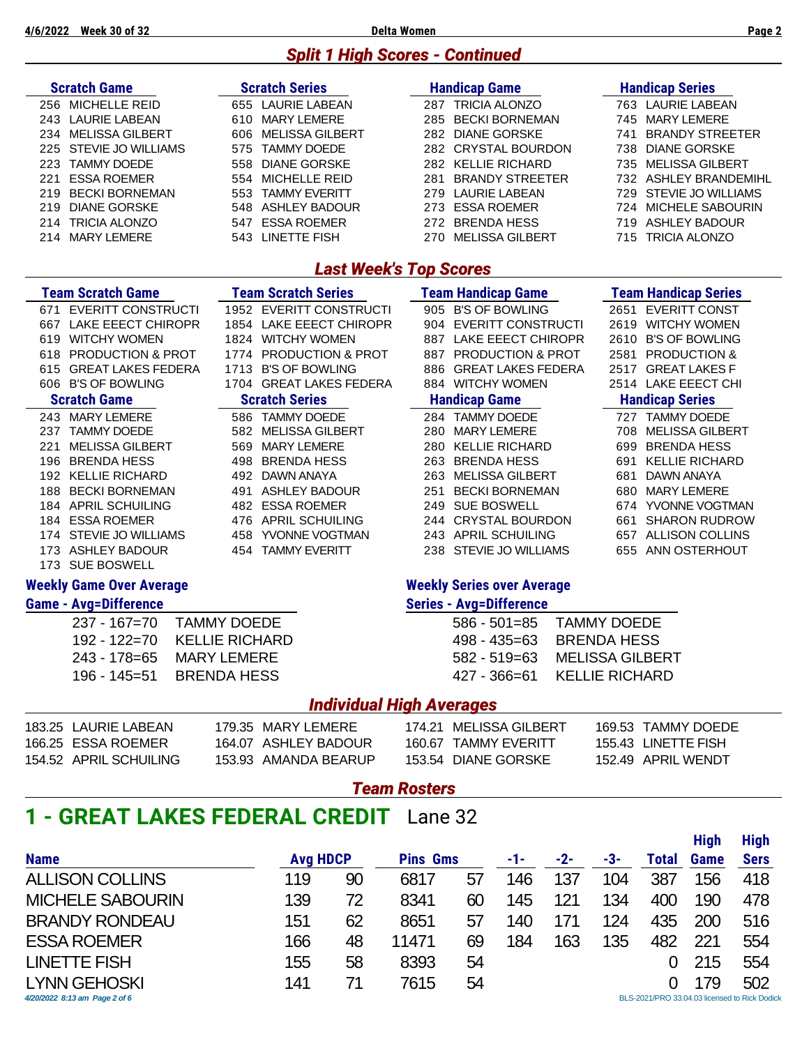### *Split 1 High Scores - Continued*

|     | <b>Scratch Game</b>                    | <b>Scratch Series</b>           |                     | <b>Handicap Game</b>              | <b>Handicap Series</b> |                             |  |  |
|-----|----------------------------------------|---------------------------------|---------------------|-----------------------------------|------------------------|-----------------------------|--|--|
|     | 256 MICHELLE REID                      | 655 LAURIE LABEAN               |                     | 287 TRICIA ALONZO                 |                        | 763 LAURIE LABEAN           |  |  |
|     | 243 LAURIE LABEAN                      | 610 MARY LEMERE                 |                     | 285 BECKI BORNEMAN                |                        | 745 MARY LEMERE             |  |  |
|     | 234 MELISSA GILBERT                    | 606 MELISSA GILBERT             |                     | 282 DIANE GORSKE                  | 741                    | <b>BRANDY STREETER</b>      |  |  |
|     | 225 STEVIE JO WILLIAMS                 | 575 TAMMY DOEDE                 |                     | 282 CRYSTAL BOURDON               |                        | 738 DIANE GORSKE            |  |  |
|     | 223 TAMMY DOEDE                        | 558 DIANE GORSKE                |                     | 282 KELLIE RICHARD                |                        | 735 MELISSA GILBERT         |  |  |
|     | 221 ESSA ROEMER                        | 554 MICHELLE REID               |                     | 281 BRANDY STREETER               |                        | 732 ASHLEY BRANDEMIHL       |  |  |
|     | 219 BECKI BORNEMAN                     | 553 TAMMY EVERITT               |                     | 279 LAURIE LABEAN                 |                        | 729 STEVIE JO WILLIAMS      |  |  |
|     | 219 DIANE GORSKE                       | 548 ASHLEY BADOUR               |                     | 273 ESSA ROEMER                   |                        | 724 MICHELE SABOURIN        |  |  |
|     | 214 TRICIA ALONZO                      | 547 ESSA ROEMER                 |                     | 272 BRENDA HESS                   |                        | 719 ASHLEY BADOUR           |  |  |
|     | 214 MARY LEMERE                        | 543 LINETTE FISH                |                     | 270 MELISSA GILBERT               |                        | 715 TRICIA ALONZO           |  |  |
|     |                                        | <b>Last Week's Top Scores</b>   |                     |                                   |                        |                             |  |  |
|     | <b>Team Scratch Game</b>               | <b>Team Scratch Series</b>      |                     | <b>Team Handicap Game</b>         |                        | <b>Team Handicap Series</b> |  |  |
|     | 671 EVERITT CONSTRUCTI                 | 1952 EVERITT CONSTRUCTI         |                     | 905 B'S OF BOWLING                |                        | 2651 EVERITT CONST          |  |  |
|     | 667 LAKE EEECT CHIROPR                 | 1854 LAKE EEECT CHIROPR         |                     | 904 EVERITT CONSTRUCTI            |                        | 2619 WITCHY WOMEN           |  |  |
|     | 619 WITCHY WOMEN                       | 1824 WITCHY WOMEN               |                     | 887 LAKE EEECT CHIROPR            |                        | 2610 B'S OF BOWLING         |  |  |
|     | 618 PRODUCTION & PROT                  | 1774 PRODUCTION & PROT          |                     | 887 PRODUCTION & PROT             |                        | 2581 PRODUCTION &           |  |  |
|     | 615 GREAT LAKES FEDERA                 | 1713 B'S OF BOWLING             |                     | 886 GREAT LAKES FEDERA            |                        | 2517 GREAT LAKES F          |  |  |
|     | 606 B'S OF BOWLING                     | 1704 GREAT LAKES FEDERA         |                     | 884 WITCHY WOMEN                  |                        | 2514 LAKE EEECT CHI         |  |  |
|     | <b>Scratch Game</b>                    | <b>Scratch Series</b>           |                     | <b>Handicap Game</b>              |                        | <b>Handicap Series</b>      |  |  |
|     | 243 MARY LEMERE                        | 586 TAMMY DOEDE                 |                     | 284 TAMMY DOEDE                   |                        | 727 TAMMY DOEDE             |  |  |
|     | 237 TAMMY DOEDE                        | 582 MELISSA GILBERT             |                     | 280 MARY LEMERE                   |                        | 708 MELISSA GILBERT         |  |  |
| 221 | <b>MELISSA GILBERT</b>                 | 569 MARY LEMERE                 |                     | 280 KELLIE RICHARD                |                        | 699 BRENDA HESS             |  |  |
|     | 196 BRENDA HESS                        | 498 BRENDA HESS                 |                     | 263 BRENDA HESS                   |                        | 691 KELLIE RICHARD          |  |  |
|     | 192 KELLIE RICHARD                     | 492 DAWN ANAYA                  |                     | 263 MELISSA GILBERT               | 681                    | DAWN ANAYA                  |  |  |
|     | 188 BECKI BORNEMAN                     | 491 ASHLEY BADOUR               |                     | 251 BECKI BORNEMAN                |                        | 680 MARY LEMERE             |  |  |
|     | 184 APRIL SCHUILING                    | 482 ESSA ROEMER                 |                     | 249 SUE BOSWELL                   |                        | 674 YVONNE VOGTMAN          |  |  |
|     | 184 ESSA ROEMER                        | 476 APRIL SCHUILING             |                     | 244 CRYSTAL BOURDON               |                        | 661 SHARON RUDROW           |  |  |
|     | 174 STEVIE JO WILLIAMS                 | 458 YVONNE VOGTMAN              |                     | 243 APRIL SCHUILING               |                        | 657 ALLISON COLLINS         |  |  |
|     | 173 ASHLEY BADOUR<br>173 SUE BOSWELL   | 454 TAMMY EVERITT               |                     | 238 STEVIE JO WILLIAMS            |                        | 655 ANN OSTERHOUT           |  |  |
|     | <b>Weekly Game Over Average</b>        |                                 |                     | <b>Weekly Series over Average</b> |                        |                             |  |  |
|     | <b>Game - Avg=Difference</b>           |                                 |                     | <b>Series - Avg=Difference</b>    |                        |                             |  |  |
|     |                                        |                                 |                     | $586 - 501 = 85$                  |                        |                             |  |  |
|     | $237 - 167 = 70$<br><b>TAMMY DOEDE</b> |                                 |                     |                                   | <b>TAMMY DOEDE</b>     |                             |  |  |
|     | 192 - 122=70<br><b>KELLIE RICHARD</b>  |                                 |                     | 498 - 435=63                      | <b>BRENDA HESS</b>     |                             |  |  |
|     | <b>MARY LEMERE</b><br>243 - 178=65     |                                 |                     | $582 - 519 = 63$                  | <b>MELISSA GILBERT</b> |                             |  |  |
|     | 196 - 145=51 BRENDA HESS               |                                 |                     | 427 - 366=61 KELLIE RICHARD       |                        |                             |  |  |
|     |                                        | <b>Individual High Averages</b> |                     |                                   |                        |                             |  |  |
|     | 183.25 LAURIE LABEAN                   | 179.35 MARY LEMERE              |                     | 174.21 MELISSA GILBERT            |                        | 169.53 TAMMY DOEDE          |  |  |
|     | 166.25 ESSA ROEMER                     | 164.07 ASHLEY BADOUR            |                     | 160.67 TAMMY EVERITT              |                        | 155.43 LINETTE FISH         |  |  |
|     | 154.52 APRIL SCHUILING                 | 153.93 AMANDA BEARUP            |                     | 153.54 DIANE GORSKE               |                        | 152.49 APRIL WENDT          |  |  |
|     |                                        |                                 | <b>Team Rosters</b> |                                   |                        |                             |  |  |
|     |                                        |                                 |                     |                                   |                        |                             |  |  |

## **1 - GREAT LAKES FEDERAL CREDIT** Lane 32

|                               |                 |    |                 |    |     |     |     |       | <b>High</b> | <b>High</b>                                   |
|-------------------------------|-----------------|----|-----------------|----|-----|-----|-----|-------|-------------|-----------------------------------------------|
| <b>Name</b>                   | <b>Avg HDCP</b> |    | <b>Pins Gms</b> |    | -1- | -2- | -3- | Total | Game        | <b>Sers</b>                                   |
| <b>ALLISON COLLINS</b>        | 119             | 90 | 6817            | 57 | 146 | 137 | 104 | 387   | 156         | 418                                           |
| <b>MICHELE SABOURIN</b>       | 139             | 72 | 8341            | 60 | 145 | 121 | 134 | 400   | 190         | 478                                           |
| <b>BRANDY RONDEAU</b>         | 151             | 62 | 8651            | 57 | 140 | 171 | 124 | 435   | 200         | 516                                           |
| <b>ESSA ROEMER</b>            | 166             | 48 | 11471           | 69 | 184 | 163 | 135 | 482   | 221         | 554                                           |
| <b>LINETTE FISH</b>           | 155             | 58 | 8393            | 54 |     |     |     | 0     | 215         | 554                                           |
| <b>LYNN GEHOSKI</b>           | 141             | 71 | 7615            | 54 |     |     |     |       | 179         | 502                                           |
| 4/20/2022 8:13 am Page 2 of 6 |                 |    |                 |    |     |     |     |       |             | BLS-2021/PRO 33.04.03 licensed to Rick Dodick |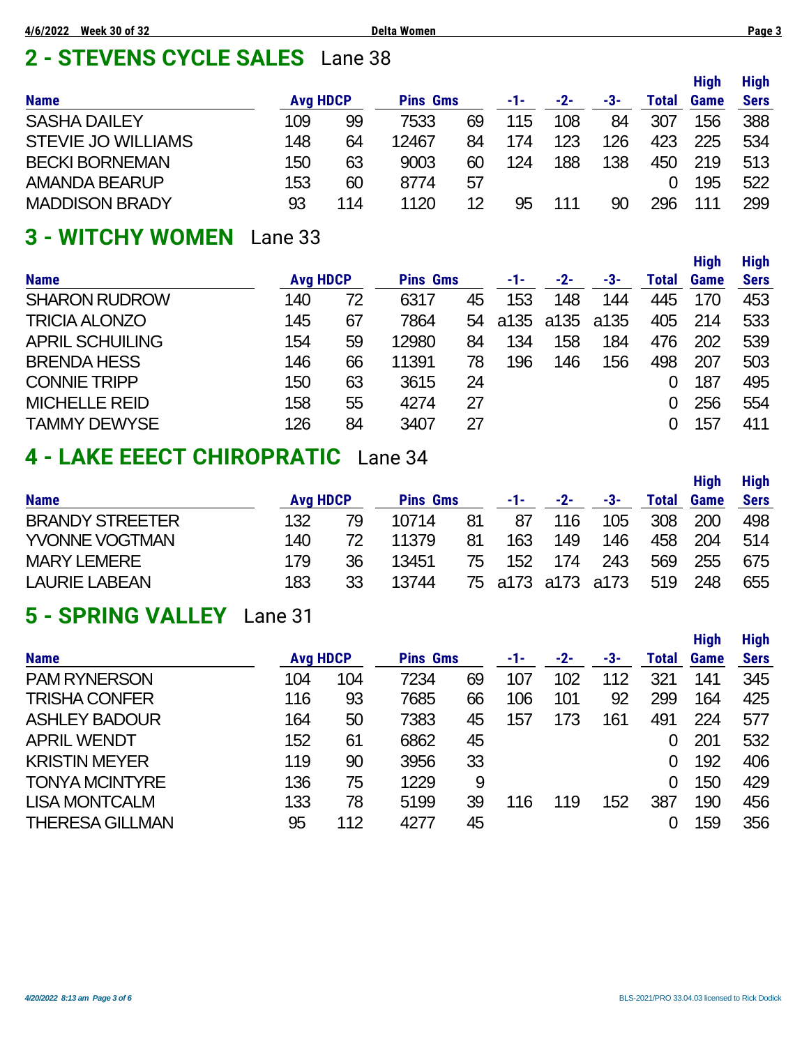# **2 - STEVENS CYCLE SALES** Lane 38

|                           |                 |     |                 |    |     |       |     |              | <b>High</b> | <b>High</b> |
|---------------------------|-----------------|-----|-----------------|----|-----|-------|-----|--------------|-------------|-------------|
| <b>Name</b>               | <b>Avg HDCP</b> |     | <b>Pins Gms</b> |    | -1- | $-2-$ | -3- | <b>Total</b> | <b>Game</b> | <b>Sers</b> |
| <b>SASHA DAILEY</b>       | 109             | 99  | 7533            | 69 | 115 | 108   | 84  | 307          | 156         | 388         |
| <b>STEVIE JO WILLIAMS</b> | 148             | 64  | 12467           | 84 | 174 | 123   | 126 | 423          | 225         | 534         |
| <b>BECKI BORNEMAN</b>     | 150             | 63  | 9003            | 60 | 124 | 188   | 138 | 450          | 219         | 513         |
| <b>AMANDA BEARUP</b>      | 153             | 60  | 8774            | 57 |     |       |     | 0            | 195         | 522         |
| <b>MADDISON BRADY</b>     | 93              | 114 | 1120            | 12 | 95  | 111   | 90  | 296          | 111         | 299         |

## **3 - WITCHY WOMEN** Lane 33

|                        |                 |    |                 |    |      |      |      |       | <b>High</b> | <b>High</b> |
|------------------------|-----------------|----|-----------------|----|------|------|------|-------|-------------|-------------|
| <b>Name</b>            | <b>Avg HDCP</b> |    | <b>Pins Gms</b> |    | -1-  | -2-  | -3-  | Total | Game        | <b>Sers</b> |
| <b>SHARON RUDROW</b>   | 140             | 72 | 6317            | 45 | 153  | 148  | 144  | 445   | 170         | 453         |
| <b>TRICIA ALONZO</b>   | 145             | 67 | 7864            | 54 | a135 | a135 | a135 | 405   | 214         | 533         |
| <b>APRIL SCHUILING</b> | 154             | 59 | 12980           | 84 | 134  | 158  | 184  | 476   | 202         | 539         |
| <b>BRENDA HESS</b>     | 146             | 66 | 11391           | 78 | 196  | 146  | 156  | 498   | 207         | 503         |
| <b>CONNIE TRIPP</b>    | 150             | 63 | 3615            | 24 |      |      |      |       | 187         | 495         |
| <b>MICHELLE REID</b>   | 158             | 55 | 4274            | 27 |      |      |      |       | 256         | 554         |
| <b>TAMMY DEWYSE</b>    | 126             | 84 | 3407            | 27 |      |      |      |       | 157         | 411         |

## **4 - LAKE EEECT CHIROPRATIC** Lane 34

| <b>Name</b>            | <b>Avg HDCP</b> |    | <b>Pins Gms</b> |    | -1- | $-2-$             | -3- | <b>Total</b> | <b>High</b><br>Game | <b>High</b><br><b>Sers</b> |
|------------------------|-----------------|----|-----------------|----|-----|-------------------|-----|--------------|---------------------|----------------------------|
|                        |                 |    |                 |    |     |                   |     |              |                     |                            |
| <b>BRANDY STREETER</b> | 132             | 79 | 10714           | 81 | 87  | 116               | 105 | 308          | 200                 | 498                        |
| <b>YVONNE VOGTMAN</b>  | 140             | 72 | 11379           | 81 | 163 | 149               | 146 | 458          | 204                 | 514                        |
| <b>MARY LEMERE</b>     | 179             | 36 | 13451           | 75 | 152 | 174               | 243 | 569          | 255                 | 675                        |
| <b>LAURIE LABEAN</b>   | 183             | 33 | 13744           |    |     | 75 a173 a173 a173 |     | 519          | 248                 | 655                        |

## **5 - SPRING VALLEY** Lane 31

|                        |                 |     |                 |    |     |       |     |              | <b>High</b> | <b>High</b> |
|------------------------|-----------------|-----|-----------------|----|-----|-------|-----|--------------|-------------|-------------|
| <b>Name</b>            | <b>Avg HDCP</b> |     | <b>Pins Gms</b> |    | -1- | $-2-$ | -3- | <b>Total</b> | Game        | <b>Sers</b> |
| <b>PAM RYNERSON</b>    | 104             | 104 | 7234            | 69 | 107 | 102   | 112 | 321          | 141         | 345         |
| <b>TRISHA CONFER</b>   | 116             | 93  | 7685            | 66 | 106 | 101   | 92  | 299          | 164         | 425         |
| <b>ASHLEY BADOUR</b>   | 164             | 50  | 7383            | 45 | 157 | 173   | 161 | 491          | 224         | 577         |
| <b>APRIL WENDT</b>     | 152             | 61  | 6862            | 45 |     |       |     | 0            | 201         | 532         |
| <b>KRISTIN MEYER</b>   | 119             | 90  | 3956            | 33 |     |       |     | 0            | 192         | 406         |
| <b>TONYA MCINTYRE</b>  | 136             | 75  | 1229            | 9  |     |       |     | 0            | 150         | 429         |
| <b>LISA MONTCALM</b>   | 133             | 78  | 5199            | 39 | 116 | 119   | 152 | 387          | 190         | 456         |
| <b>THERESA GILLMAN</b> | 95              | 112 | 4277            | 45 |     |       |     |              | 159         | 356         |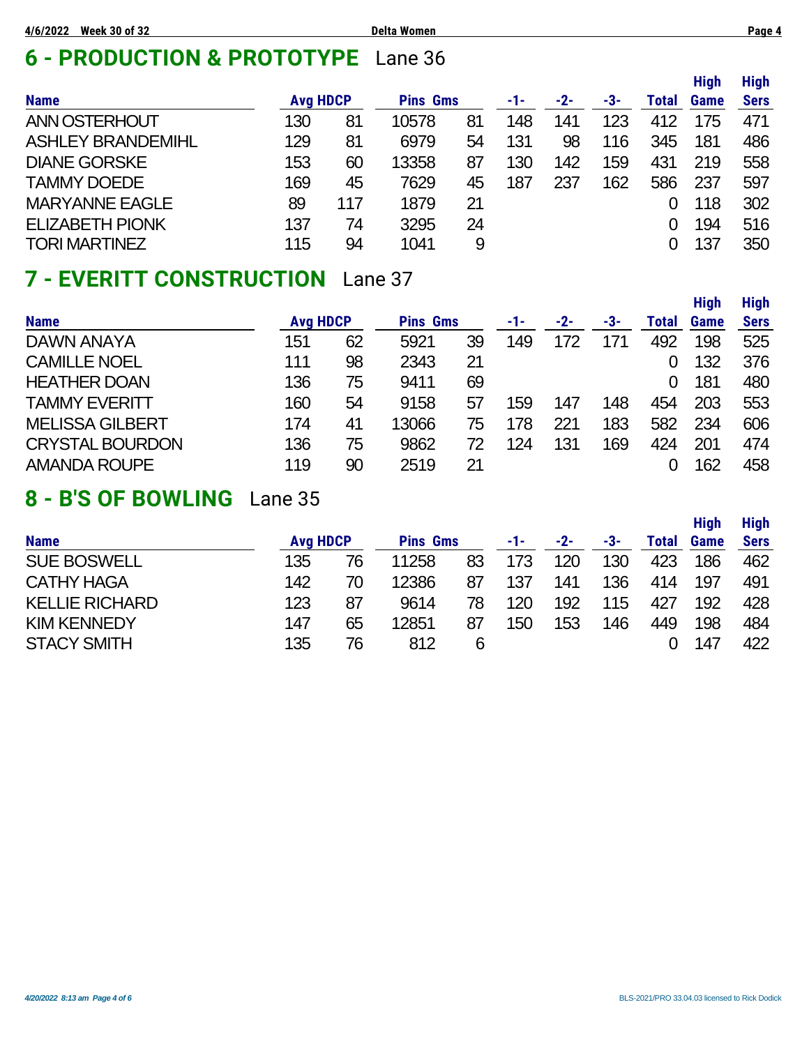# **6 - PRODUCTION & PROTOTYPE** Lane 36

|                          |                 |     |                 |    |     |       |     |       | <b>High</b> | <b>High</b> |
|--------------------------|-----------------|-----|-----------------|----|-----|-------|-----|-------|-------------|-------------|
| <b>Name</b>              | <b>Avg HDCP</b> |     | <b>Pins Gms</b> |    | -1- | $-2-$ | -3- | Total | Game        | <b>Sers</b> |
| <b>ANN OSTERHOUT</b>     | 130             | 81  | 10578           | 81 | 148 | 141   | 123 | 412   | 175         | 471         |
| <b>ASHLEY BRANDEMIHL</b> | 129             | 81  | 6979            | 54 | 131 | 98    | 116 | 345   | 181         | 486         |
| <b>DIANE GORSKE</b>      | 153             | 60  | 13358           | 87 | 130 | 142   | 159 | 431   | 219         | 558         |
| <b>TAMMY DOEDE</b>       | 169             | 45  | 7629            | 45 | 187 | 237   | 162 | 586   | 237         | 597         |
| <b>MARYANNE EAGLE</b>    | 89              | 117 | 1879            | 21 |     |       |     |       | 118         | 302         |
| <b>ELIZABETH PIONK</b>   | 137             | 74  | 3295            | 24 |     |       |     |       | 194         | 516         |
| <b>TORI MARTINEZ</b>     | 115             | 94  | 1041            | 9  |     |       |     |       | 137         | 350         |

## **7 - EVERITT CONSTRUCTION** Lane 37

|                        |                 |    |                 |    |     |     |     |              | <b>High</b> | <b>High</b> |
|------------------------|-----------------|----|-----------------|----|-----|-----|-----|--------------|-------------|-------------|
| <b>Name</b>            | <b>Avg HDCP</b> |    | <b>Pins Gms</b> |    | -1- | -2- | -3- | <b>Total</b> | Game        | <b>Sers</b> |
| <b>DAWN ANAYA</b>      | 151             | 62 | 5921            | 39 | 149 | 172 |     | 492          | 198         | 525         |
| <b>CAMILLE NOEL</b>    | 111             | 98 | 2343            | 21 |     |     |     |              | 132         | 376         |
| <b>HEATHER DOAN</b>    | 136             | 75 | 9411            | 69 |     |     |     | 0            | 181         | 480         |
| <b>TAMMY EVERITT</b>   | 160             | 54 | 9158            | 57 | 159 | 147 | 148 | 454          | 203         | 553         |
| <b>MELISSA GILBERT</b> | 174             | 41 | 13066           | 75 | 178 | 221 | 183 | 582          | 234         | 606         |
| <b>CRYSTAL BOURDON</b> | 136             | 75 | 9862            | 72 | 124 | 131 | 169 | 424          | 201         | 474         |
| <b>AMANDA ROUPE</b>    | 119             | 90 | 2519            | 21 |     |     |     |              | 162         | 458         |

# **8 - B'S OF BOWLING** Lane 35

|                       |                 |    |                 |    |     |     |     |       | <b>High</b> | <b>High</b> |
|-----------------------|-----------------|----|-----------------|----|-----|-----|-----|-------|-------------|-------------|
| <b>Name</b>           | <b>Avg HDCP</b> |    | <b>Pins Gms</b> |    | -1- | -2- | -3- | Total | <b>Game</b> | <b>Sers</b> |
| <b>SUE BOSWELL</b>    | 135             | 76 | 11258           | 83 | 173 | 120 | 130 | 423   | 186         | 462         |
| <b>CATHY HAGA</b>     | 142             | 70 | 12386           | 87 | 137 | 141 | 136 | 414   | 197         | 491         |
| <b>KELLIE RICHARD</b> | 123             | 87 | 9614            | 78 | 120 | 192 | 115 | 427   | 192         | 428         |
| <b>KIM KENNEDY</b>    | 147             | 65 | 12851           | 87 | 150 | 153 | 146 | 449   | 198         | 484         |
| <b>STACY SMITH</b>    | 135             | 76 | 812             | 6  |     |     |     |       | 147         | 422         |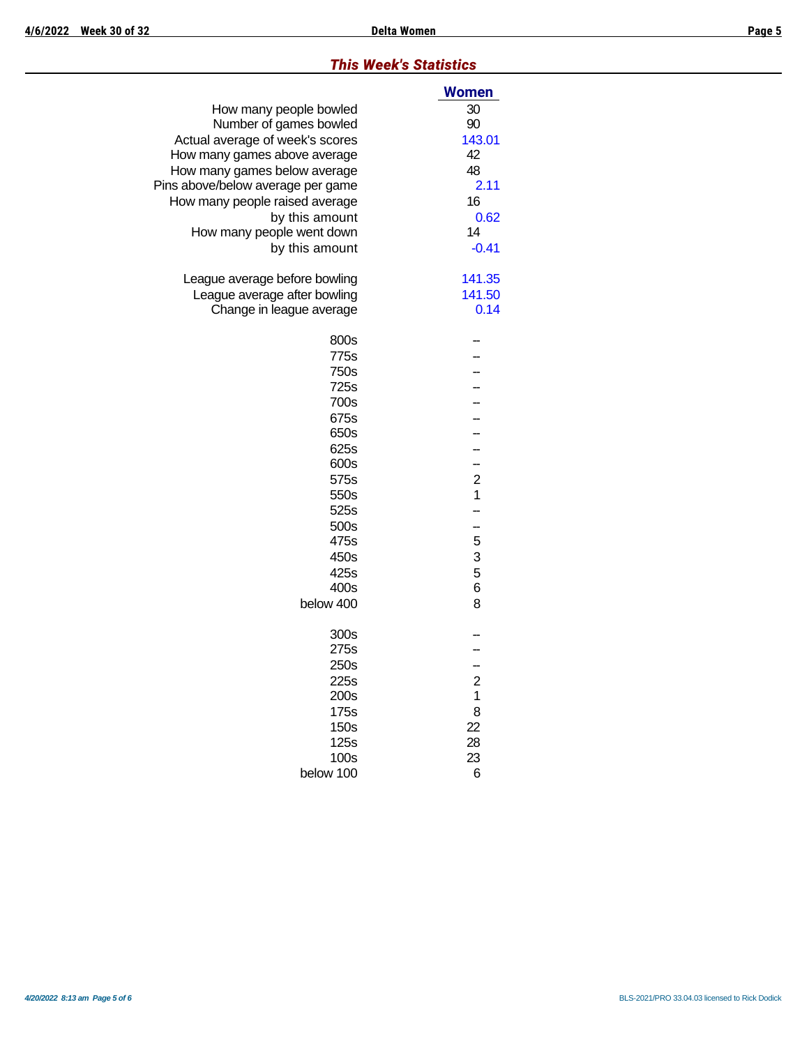#### *This Week's Statistics*

|                                   | <b>Women</b>                              |
|-----------------------------------|-------------------------------------------|
| How many people bowled            | 30                                        |
| Number of games bowled            | 90                                        |
| Actual average of week's scores   | 143.01                                    |
| How many games above average      | 42                                        |
| How many games below average      | 48                                        |
| Pins above/below average per game | 2.11                                      |
| How many people raised average    | 16                                        |
| by this amount                    | 0.62                                      |
| How many people went down         | 14                                        |
| by this amount                    | $-0.41$                                   |
| League average before bowling     | 141.35                                    |
| League average after bowling      | 141.50                                    |
| Change in league average          | 0.14                                      |
|                                   |                                           |
| 800s                              |                                           |
| 775s                              |                                           |
| 750s                              |                                           |
| 725s                              |                                           |
| 700s                              |                                           |
| 675s                              |                                           |
| 650s                              |                                           |
| 625s                              | $\overline{a}$                            |
| 600s                              | <u>.</u>                                  |
| 575s                              | $\overline{\mathbf{c}}$<br>$\overline{1}$ |
| 550s                              |                                           |
| 525s                              |                                           |
| 500s                              | $\frac{1}{5}$                             |
| 475s                              |                                           |
| 450s                              |                                           |
| 425s                              | 5                                         |
| 400s                              | 6                                         |
| below 400                         | 8                                         |
| 300s                              |                                           |
| 275s                              |                                           |
| 250s                              |                                           |
| 225s                              | 2<br>1                                    |
| 200s                              |                                           |
| 175s                              | 8                                         |
| 150s                              | 22                                        |
| 125s                              | 28                                        |
| 100s                              | 23                                        |
| below 100                         | 6                                         |